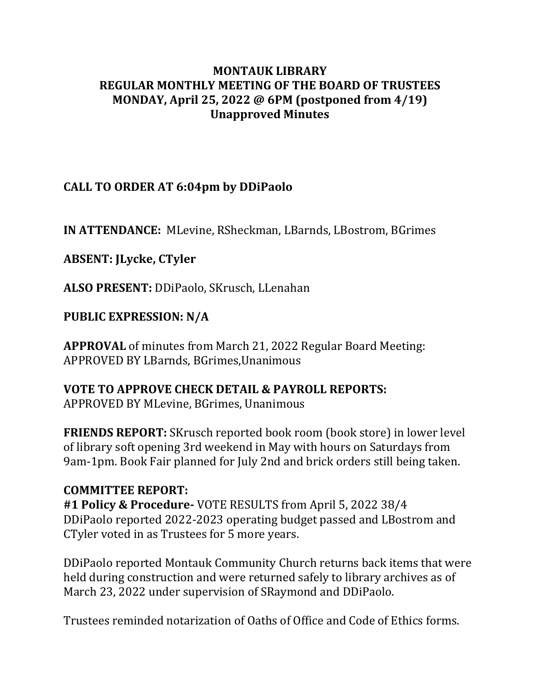#### **MONTAUK LIBRARY REGULAR MONTHLY MEETING OF THE BOARD OF TRUSTEES MONDAY, April 25, 2022 @ 6PM (postponed from 4/19) Unapproved Minutes**

## **CALL TO ORDER AT 6:04pm by DDiPaolo**

**IN ATTENDANCE:** MLevine, RSheckman, LBarnds, LBostrom, BGrimes

**ABSENT: JLycke, CTyler**

**ALSO PRESENT:** DDiPaolo, SKrusch, LLenahan

**PUBLIC EXPRESSION: N/A**

**APPROVAL** of minutes from March 21, 2022 Regular Board Meeting: APPROVED BY LBarnds, BGrimes,Unanimous

#### **VOTE TO APPROVE CHECK DETAIL & PAYROLL REPORTS:**

APPROVED BY MLevine, BGrimes, Unanimous

**FRIENDS REPORT:** SKrusch reported book room (book store) in lower level of library soft opening 3rd weekend in May with hours on Saturdays from 9am-1pm. Book Fair planned for July 2nd and brick orders still being taken.

#### **COMMITTEE REPORT:**

**#1 Policy & Procedure-** VOTE RESULTS from April 5, 2022 38/4 DDiPaolo reported 2022-2023 operating budget passed and LBostrom and CTyler voted in as Trustees for 5 more years.

DDiPaolo reported Montauk Community Church returns back items that were held during construction and were returned safely to library archives as of March 23, 2022 under supervision of SRaymond and DDiPaolo.

Trustees reminded notarization of Oaths of Office and Code of Ethics forms.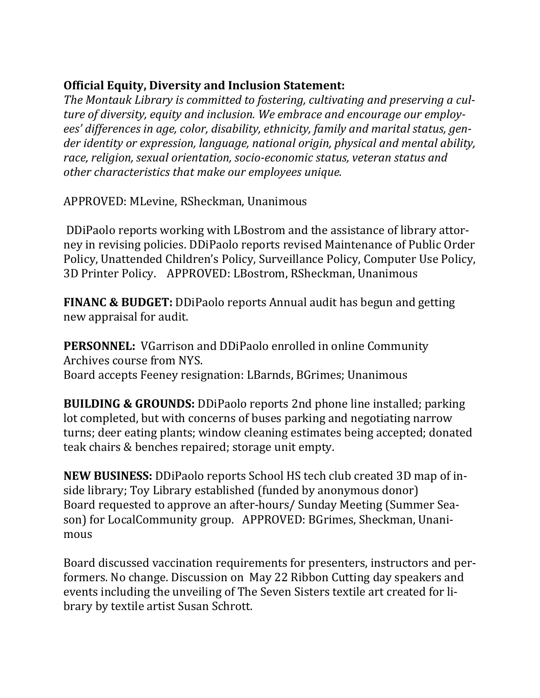## **Official Equity, Diversity and Inclusion Statement:**

*The Montauk Library is committed to fostering, cultivating and preserving a culture of diversity, equity and inclusion. We embrace and encourage our employees' differences in age, color, disability, ethnicity, family and marital status, gender identity or expression, language, national origin, physical and mental ability, race, religion, sexual orientation, socio-economic status, veteran status and other characteristics that make our employees unique.*

APPROVED: MLevine, RSheckman, Unanimous

DDiPaolo reports working with LBostrom and the assistance of library attorney in revising policies. DDiPaolo reports revised Maintenance of Public Order Policy, Unattended Children's Policy, Surveillance Policy, Computer Use Policy, 3D Printer Policy. APPROVED: LBostrom, RSheckman, Unanimous

**FINANC & BUDGET:** DDiPaolo reports Annual audit has begun and getting new appraisal for audit.

**PERSONNEL:** VGarrison and DDiPaolo enrolled in online Community Archives course from NYS. Board accepts Feeney resignation: LBarnds, BGrimes; Unanimous

**BUILDING & GROUNDS:** DDiPaolo reports 2nd phone line installed; parking lot completed, but with concerns of buses parking and negotiating narrow turns; deer eating plants; window cleaning estimates being accepted; donated teak chairs & benches repaired; storage unit empty.

**NEW BUSINESS:** DDiPaolo reports School HS tech club created 3D map of inside library; Toy Library established (funded by anonymous donor) Board requested to approve an after-hours/ Sunday Meeting (Summer Season) for LocalCommunity group. APPROVED: BGrimes, Sheckman, Unanimous

Board discussed vaccination requirements for presenters, instructors and performers. No change. Discussion on May 22 Ribbon Cutting day speakers and events including the unveiling of The Seven Sisters textile art created for library by textile artist Susan Schrott.